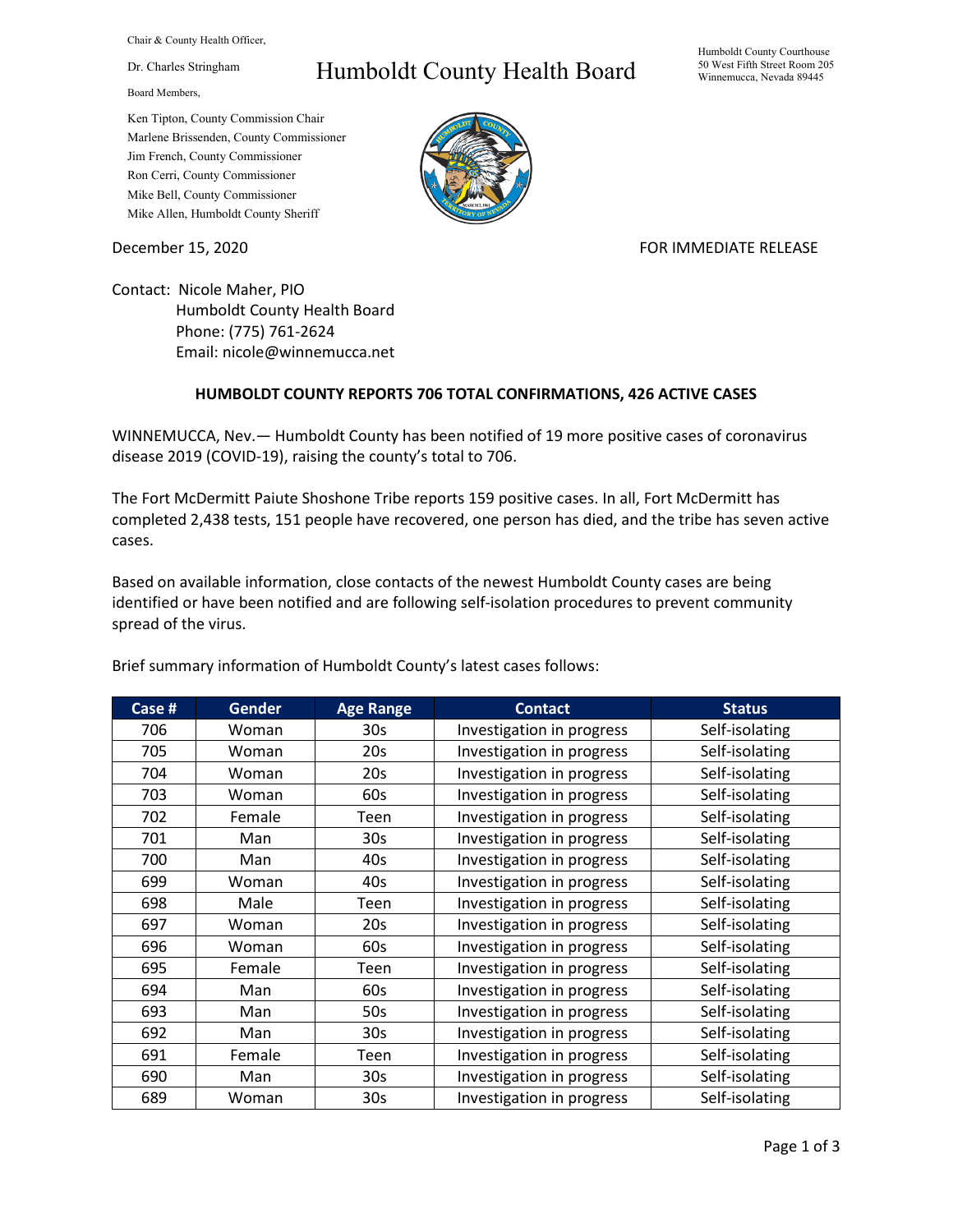Chair & County Health Officer,

Dr. Charles Stringham

Board Members,

## Humboldt County Health Board

Humboldt County Courthouse 50 West Fifth Street Room 205 Winnemucca, Nevada 89445

Ken Tipton, County Commission Chair Marlene Brissenden, County Commissioner Jim French, County Commissioner Ron Cerri, County Commissioner Mike Bell, County Commissioner Mike Allen, Humboldt County Sheriff

December 15, 2020 **FOR IMMEDIATE RELEASE** 

Contact: Nicole Maher, PIO Humboldt County Health Board Phone: (775) 761-2624 Email: nicole@winnemucca.net

## **HUMBOLDT COUNTY REPORTS 706 TOTAL CONFIRMATIONS, 426 ACTIVE CASES**

WINNEMUCCA, Nev.— Humboldt County has been notified of 19 more positive cases of coronavirus disease 2019 (COVID-19), raising the county's total to 706.

The Fort McDermitt Paiute Shoshone Tribe reports 159 positive cases. In all, Fort McDermitt has completed 2,438 tests, 151 people have recovered, one person has died, and the tribe has seven active cases.

Based on available information, close contacts of the newest Humboldt County cases are being identified or have been notified and are following self-isolation procedures to prevent community spread of the virus.

| Case # | <b>Gender</b> | <b>Age Range</b> | <b>Contact</b>            | <b>Status</b>  |
|--------|---------------|------------------|---------------------------|----------------|
| 706    | Woman         | 30s              | Investigation in progress | Self-isolating |
| 705    | Woman         | 20s              | Investigation in progress | Self-isolating |
| 704    | Woman         | 20s              | Investigation in progress | Self-isolating |
| 703    | Woman         | 60s              | Investigation in progress | Self-isolating |
| 702    | Female        | Teen             | Investigation in progress | Self-isolating |
| 701    | Man           | 30 <sub>s</sub>  | Investigation in progress | Self-isolating |
| 700    | Man           | 40s              | Investigation in progress | Self-isolating |
| 699    | Woman         | 40s              | Investigation in progress | Self-isolating |
| 698    | Male          | Teen             | Investigation in progress | Self-isolating |
| 697    | Woman         | 20s              | Investigation in progress | Self-isolating |
| 696    | Woman         | 60s              | Investigation in progress | Self-isolating |
| 695    | Female        | Teen             | Investigation in progress | Self-isolating |
| 694    | Man           | 60s              | Investigation in progress | Self-isolating |
| 693    | Man           | 50s              | Investigation in progress | Self-isolating |
| 692    | Man           | 30s              | Investigation in progress | Self-isolating |
| 691    | Female        | Teen             | Investigation in progress | Self-isolating |
| 690    | Man           | 30 <sub>s</sub>  | Investigation in progress | Self-isolating |
| 689    | Woman         | 30 <sub>s</sub>  | Investigation in progress | Self-isolating |

Brief summary information of Humboldt County's latest cases follows: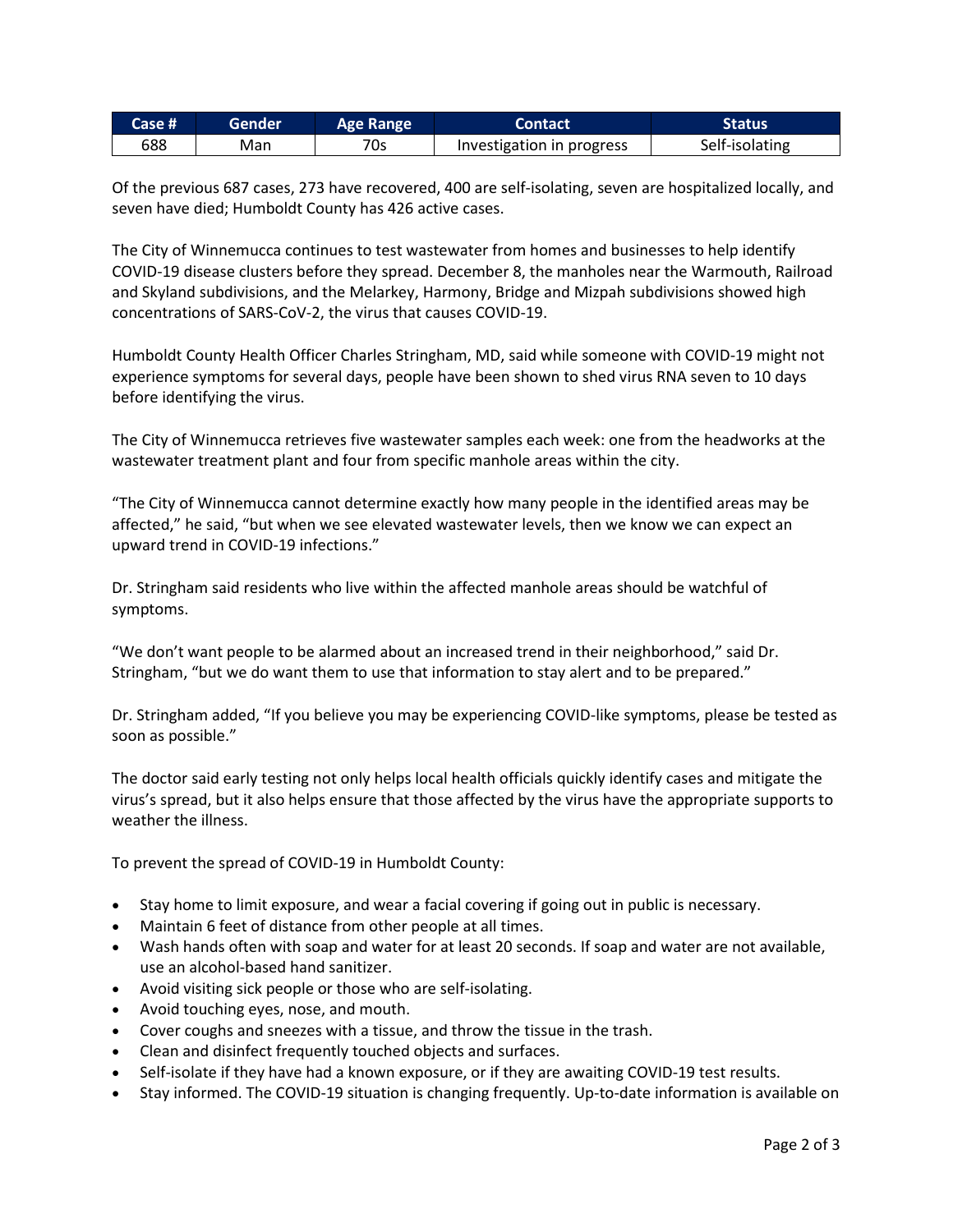| Case # | Gender | <b>Age Range</b> | <b>Contact</b>            | <b>Status</b>  |
|--------|--------|------------------|---------------------------|----------------|
| 688    | Man    | 70s              | Investigation in progress | Self-isolating |

Of the previous 687 cases, 273 have recovered, 400 are self-isolating, seven are hospitalized locally, and seven have died; Humboldt County has 426 active cases.

The City of Winnemucca continues to test wastewater from homes and businesses to help identify COVID-19 disease clusters before they spread. December 8, the manholes near the Warmouth, Railroad and Skyland subdivisions, and the Melarkey, Harmony, Bridge and Mizpah subdivisions showed high concentrations of SARS-CoV-2, the virus that causes COVID-19.

Humboldt County Health Officer Charles Stringham, MD, said while someone with COVID-19 might not experience symptoms for several days, people have been shown to shed virus RNA seven to 10 days before identifying the virus.

The City of Winnemucca retrieves five wastewater samples each week: one from the headworks at the wastewater treatment plant and four from specific manhole areas within the city.

"The City of Winnemucca cannot determine exactly how many people in the identified areas may be affected," he said, "but when we see elevated wastewater levels, then we know we can expect an upward trend in COVID-19 infections."

Dr. Stringham said residents who live within the affected manhole areas should be watchful of symptoms.

"We don't want people to be alarmed about an increased trend in their neighborhood," said Dr. Stringham, "but we do want them to use that information to stay alert and to be prepared."

Dr. Stringham added, "If you believe you may be experiencing COVID-like symptoms, please be tested as soon as possible."

The doctor said early testing not only helps local health officials quickly identify cases and mitigate the virus's spread, but it also helps ensure that those affected by the virus have the appropriate supports to weather the illness.

To prevent the spread of COVID-19 in Humboldt County:

- Stay home to limit exposure, and wear a facial covering if going out in public is necessary.
- Maintain 6 feet of distance from other people at all times.
- Wash hands often with soap and water for at least 20 seconds. If soap and water are not available, use an alcohol-based hand sanitizer.
- Avoid visiting sick people or those who are self-isolating.
- Avoid touching eyes, nose, and mouth.
- Cover coughs and sneezes with a tissue, and throw the tissue in the trash.
- Clean and disinfect frequently touched objects and surfaces.
- Self-isolate if they have had a known exposure, or if they are awaiting COVID-19 test results.
- Stay informed. The COVID-19 situation is changing frequently. Up-to-date information is available on